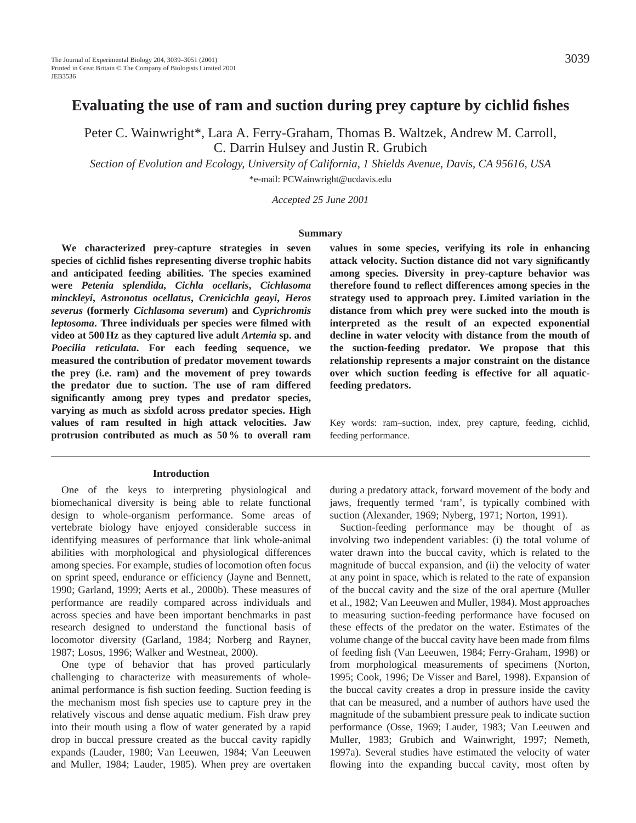# **Evaluating the use of ram and suction during prey capture by cichlid fishes**

Peter C. Wainwright\*, Lara A. Ferry-Graham, Thomas B. Waltzek, Andrew M. Carroll, C. Darrin Hulsey and Justin R. Grubich

*Section of Evolution and Ecology, University of California, 1 Shields Avenue, Davis, CA 95616, USA* \*e-mail: PCWainwright@ucdavis.edu

*Accepted 25 June 2001*

#### **Summary**

**We characterized prey-capture strategies in seven species of cichlid fishes representing diverse trophic habits and anticipated feeding abilities. The species examined were** *Petenia splendida***,** *Cichla ocellaris***,** *Cichlasoma minckleyi***,** *Astronotus ocellatus***,** *Crenicichla geayi***,** *Heros severus* **(formerly** *Cichlasoma severum***) and** *Cyprichromis leptosoma***. Three individuals per species were filmed with video at 500 Hz as they captured live adult** *Artemia* **sp. and** *Poecilia reticulata***. For each feeding sequence, we measured the contribution of predator movement towards the prey (i.e. ram) and the movement of prey towards the predator due to suction. The use of ram differed significantly among prey types and predator species, varying as much as sixfold across predator species. High values of ram resulted in high attack velocities. Jaw protrusion contributed as much as 50 % to overall ram**

#### **Introduction**

One of the keys to interpreting physiological and biomechanical diversity is being able to relate functional design to whole-organism performance. Some areas of vertebrate biology have enjoyed considerable success in identifying measures of performance that link whole-animal abilities with morphological and physiological differences among species. For example, studies of locomotion often focus on sprint speed, endurance or efficiency (Jayne and Bennett, 1990; Garland, 1999; Aerts et al., 2000b). These measures of performance are readily compared across individuals and across species and have been important benchmarks in past research designed to understand the functional basis of locomotor diversity (Garland, 1984; Norberg and Rayner, 1987; Losos, 1996; Walker and Westneat, 2000).

One type of behavior that has proved particularly challenging to characterize with measurements of wholeanimal performance is fish suction feeding. Suction feeding is the mechanism most fish species use to capture prey in the relatively viscous and dense aquatic medium. Fish draw prey into their mouth using a flow of water generated by a rapid drop in buccal pressure created as the buccal cavity rapidly expands (Lauder, 1980; Van Leeuwen, 1984; Van Leeuwen and Muller, 1984; Lauder, 1985). When prey are overtaken

**values in some species, verifying its role in enhancing attack velocity. Suction distance did not vary significantly among species. Diversity in prey-capture behavior was therefore found to reflect differences among species in the strategy used to approach prey. Limited variation in the distance from which prey were sucked into the mouth is interpreted as the result of an expected exponential decline in water velocity with distance from the mouth of the suction-feeding predator. We propose that this relationship represents a major constraint on the distance over which suction feeding is effective for all aquaticfeeding predators.**

Key words: ram–suction, index, prey capture, feeding, cichlid, feeding performance.

during a predatory attack, forward movement of the body and jaws, frequently termed 'ram', is typically combined with suction (Alexander, 1969; Nyberg, 1971; Norton, 1991).

Suction-feeding performance may be thought of as involving two independent variables: (i) the total volume of water drawn into the buccal cavity, which is related to the magnitude of buccal expansion, and (ii) the velocity of water at any point in space, which is related to the rate of expansion of the buccal cavity and the size of the oral aperture (Muller et al., 1982; Van Leeuwen and Muller, 1984). Most approaches to measuring suction-feeding performance have focused on these effects of the predator on the water. Estimates of the volume change of the buccal cavity have been made from films of feeding fish (Van Leeuwen, 1984; Ferry-Graham, 1998) or from morphological measurements of specimens (Norton, 1995; Cook, 1996; De Visser and Barel, 1998). Expansion of the buccal cavity creates a drop in pressure inside the cavity that can be measured, and a number of authors have used the magnitude of the subambient pressure peak to indicate suction performance (Osse, 1969; Lauder, 1983; Van Leeuwen and Muller, 1983; Grubich and Wainwright, 1997; Nemeth, 1997a). Several studies have estimated the velocity of water flowing into the expanding buccal cavity, most often by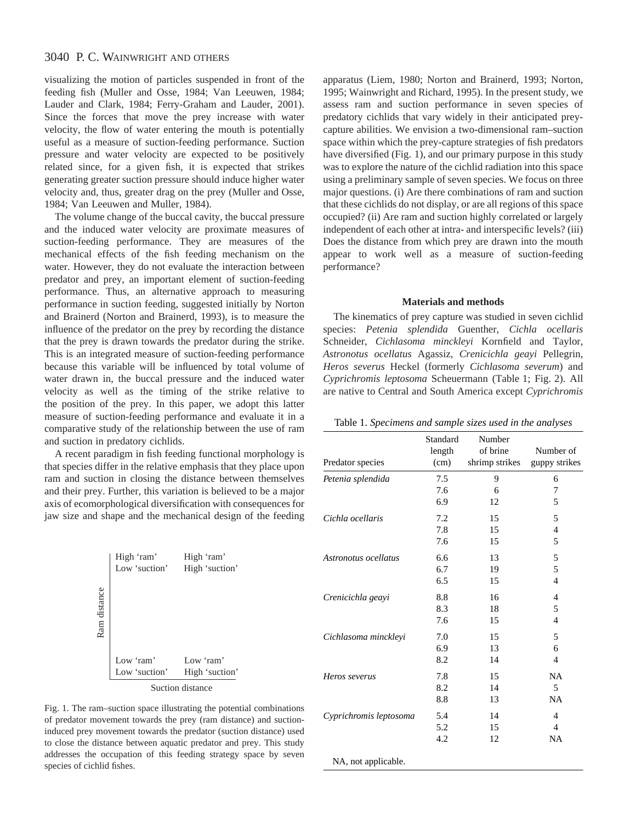visualizing the motion of particles suspended in front of the feeding fish (Muller and Osse, 1984; Van Leeuwen, 1984; Lauder and Clark, 1984; Ferry-Graham and Lauder, 2001). Since the forces that move the prey increase with water velocity, the flow of water entering the mouth is potentially useful as a measure of suction-feeding performance. Suction pressure and water velocity are expected to be positively related since, for a given fish, it is expected that strikes generating greater suction pressure should induce higher water velocity and, thus, greater drag on the prey (Muller and Osse, 1984; Van Leeuwen and Muller, 1984).

The volume change of the buccal cavity, the buccal pressure and the induced water velocity are proximate measures of suction-feeding performance. They are measures of the mechanical effects of the fish feeding mechanism on the water. However, they do not evaluate the interaction between predator and prey, an important element of suction-feeding performance. Thus, an alternative approach to measuring performance in suction feeding, suggested initially by Norton and Brainerd (Norton and Brainerd, 1993), is to measure the influence of the predator on the prey by recording the distance that the prey is drawn towards the predator during the strike. This is an integrated measure of suction-feeding performance because this variable will be influenced by total volume of water drawn in, the buccal pressure and the induced water velocity as well as the timing of the strike relative to the position of the prey. In this paper, we adopt this latter measure of suction-feeding performance and evaluate it in a comparative study of the relationship between the use of ram and suction in predatory cichlids.

A recent paradigm in fish feeding functional morphology is that species differ in the relative emphasis that they place upon ram and suction in closing the distance between themselves and their prey. Further, this variation is believed to be a major axis of ecomorphological diversification with consequences for jaw size and shape and the mechanical design of the feeding



Fig. 1. The ram–suction space illustrating the potential combinations of predator movement towards the prey (ram distance) and suctioninduced prey movement towards the predator (suction distance) used to close the distance between aquatic predator and prey. This study addresses the occupation of this feeding strategy space by seven species of cichlid fishes.

apparatus (Liem, 1980; Norton and Brainerd, 1993; Norton, 1995; Wainwright and Richard, 1995). In the present study, we assess ram and suction performance in seven species of predatory cichlids that vary widely in their anticipated preycapture abilities. We envision a two-dimensional ram–suction space within which the prey-capture strategies of fish predators have diversified (Fig. 1), and our primary purpose in this study was to explore the nature of the cichlid radiation into this space using a preliminary sample of seven species. We focus on three major questions. (i) Are there combinations of ram and suction that these cichlids do not display, or are all regions of this space occupied? (ii) Are ram and suction highly correlated or largely independent of each other at intra- and interspecific levels? (iii) Does the distance from which prey are drawn into the mouth appear to work well as a measure of suction-feeding performance?

### **Materials and methods**

The kinematics of prey capture was studied in seven cichlid species: *Petenia splendida* Guenther, *Cichla ocellaris* Schneider, *Cichlasoma minckleyi* Kornfield and Taylor, *Astronotus ocellatus* Agassiz, *Crenicichla geayi* Pellegrin, *Heros severus* Heckel (formerly *Cichlasoma severum*) and *Cyprichromis leptosoma* Scheuermann (Table 1; Fig. 2). All are native to Central and South America except *Cyprichromis*

Table 1. *Specimens and sample sizes used in the analyses*

| Predator species       | Standard<br>length<br>(cm) | Number<br>of brine<br>shrimp strikes | Number of<br>guppy strikes |
|------------------------|----------------------------|--------------------------------------|----------------------------|
| Petenia splendida      | 7.5                        | 9                                    | 6                          |
|                        | 7.6                        | 6                                    | 7                          |
|                        | 6.9                        | 12                                   | 5                          |
| Cichla ocellaris       | 7.2                        | 15                                   | 5                          |
|                        | 7.8                        | 15                                   | $\overline{4}$             |
|                        | 7.6                        | 15                                   | 5                          |
| Astronotus ocellatus   | 6.6                        | 13                                   | 5                          |
|                        | 6.7                        | 19                                   | 5                          |
|                        | 6.5                        | 15                                   | $\overline{4}$             |
| Crenicichla geayi      | 8.8                        | 16                                   | 4                          |
|                        | 8.3                        | 18                                   | 5                          |
|                        | 7.6                        | 15                                   | 4                          |
| Cichlasoma minckleyi   | 7.0                        | 15                                   | 5                          |
|                        | 6.9                        | 13                                   | 6                          |
|                        | 8.2                        | 14                                   | 4                          |
| Heros severus          | 7.8                        | 15                                   | <b>NA</b>                  |
|                        | 8.2                        | 14                                   | 5                          |
|                        | 8.8                        | 13                                   | <b>NA</b>                  |
| Cyprichromis leptosoma | 5.4                        | 14                                   | $\overline{4}$             |
|                        | 5.2                        | 15                                   | $\overline{4}$             |
|                        | 4.2                        | 12                                   | NA                         |
|                        |                            |                                      |                            |

NA, not applicable.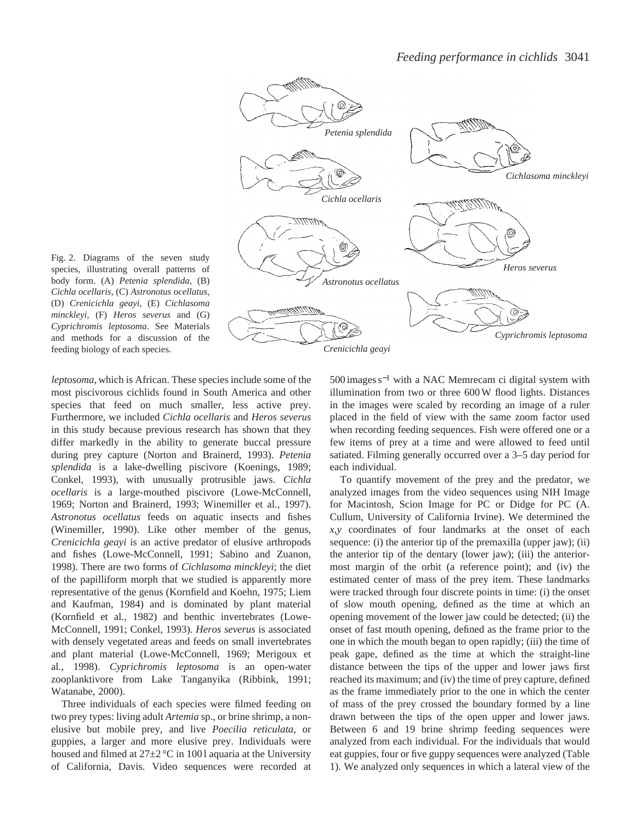

Fig. 2. Diagrams of the seven study species, illustrating overall patterns of body form. (A) *Petenia splendida*, (B) *Cichla ocellaris*, (C) *Astronotus ocellatus*, (D) *Crenicichla geayi*, (E) *Cichlasoma minckleyi*, (F) *Heros severus* and (G) *Cyprichromis leptosoma*. See Materials and methods for a discussion of the feeding biology of each species.

*leptosoma*, which is African. These species include some of the most piscivorous cichlids found in South America and other species that feed on much smaller, less active prey. Furthermore, we included *Cichla ocellaris* and *Heros severus* in this study because previous research has shown that they differ markedly in the ability to generate buccal pressure during prey capture (Norton and Brainerd, 1993). *Petenia splendida* is a lake-dwelling piscivore (Koenings, 1989; Conkel, 1993), with unusually protrusible jaws. *Cichla ocellaris* is a large-mouthed piscivore (Lowe-McConnell, 1969; Norton and Brainerd, 1993; Winemiller et al*.*, 1997). *Astronotus ocellatus* feeds on aquatic insects and fishes (Winemiller, 1990). Like other member of the genus, *Crenicichla geayi* is an active predator of elusive arthropods and fishes (Lowe-McConnell, 1991; Sabino and Zuanon, 1998). There are two forms of *Cichlasoma minckleyi*; the diet of the papilliform morph that we studied is apparently more representative of the genus (Kornfield and Koehn, 1975; Liem and Kaufman, 1984) and is dominated by plant material (Kornfield et al*.*, 1982) and benthic invertebrates (Lowe-McConnell, 1991; Conkel, 1993). *Heros severus* is associated with densely vegetated areas and feeds on small invertebrates and plant material (Lowe-McConnell, 1969; Merigoux et al*.*, 1998). *Cyprichromis leptosoma* is an open-water zooplanktivore from Lake Tanganyika (Ribbink, 1991; Watanabe, 2000).

Three individuals of each species were filmed feeding on two prey types: living adult *Artemia* sp., or brine shrimp, a nonelusive but mobile prey, and live *Poecilia reticulata*, or guppies, a larger and more elusive prey. Individuals were housed and filmed at  $27\pm2$  °C in 1001 aquaria at the University of California, Davis. Video sequences were recorded at

500 images s−<sup>1</sup> with a NAC Memrecam ci digital system with illumination from two or three 600 W flood lights. Distances in the images were scaled by recording an image of a ruler placed in the field of view with the same zoom factor used when recording feeding sequences. Fish were offered one or a few items of prey at a time and were allowed to feed until satiated. Filming generally occurred over a 3–5 day period for each individual.

To quantify movement of the prey and the predator, we analyzed images from the video sequences using NIH Image for Macintosh, Scion Image for PC or Didge for PC (A. Cullum, University of California Irvine). We determined the *x*,*y* coordinates of four landmarks at the onset of each sequence: (i) the anterior tip of the premaxilla (upper jaw); (ii) the anterior tip of the dentary (lower jaw); (iii) the anteriormost margin of the orbit (a reference point); and (iv) the estimated center of mass of the prey item. These landmarks were tracked through four discrete points in time: (i) the onset of slow mouth opening, defined as the time at which an opening movement of the lower jaw could be detected; (ii) the onset of fast mouth opening, defined as the frame prior to the one in which the mouth began to open rapidly; (iii) the time of peak gape, defined as the time at which the straight-line distance between the tips of the upper and lower jaws first reached its maximum; and (iv) the time of prey capture, defined as the frame immediately prior to the one in which the center of mass of the prey crossed the boundary formed by a line drawn between the tips of the open upper and lower jaws. Between 6 and 19 brine shrimp feeding sequences were analyzed from each individual. For the individuals that would eat guppies, four or five guppy sequences were analyzed (Table 1). We analyzed only sequences in which a lateral view of the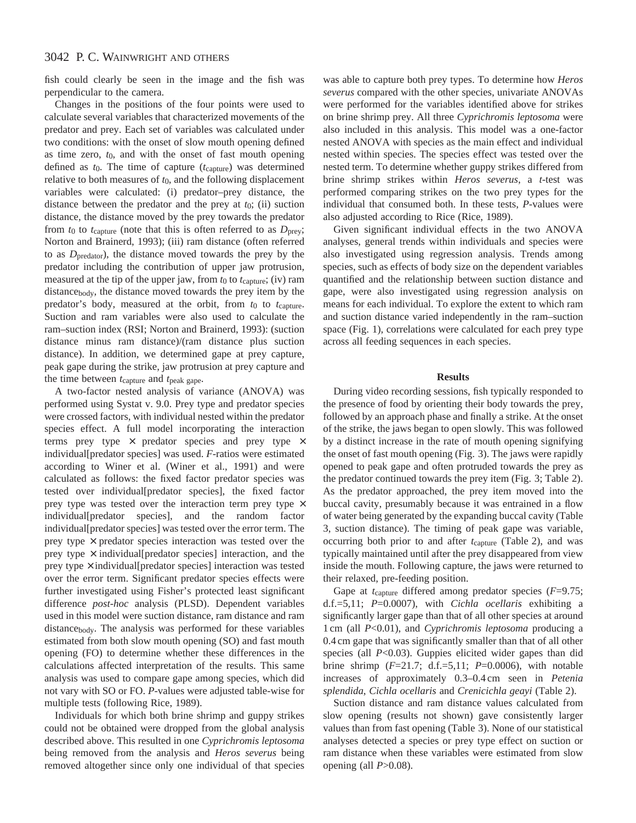fish could clearly be seen in the image and the fish was perpendicular to the camera.

Changes in the positions of the four points were used to calculate several variables that characterized movements of the predator and prey. Each set of variables was calculated under two conditions: with the onset of slow mouth opening defined as time zero, *t*0, and with the onset of fast mouth opening defined as *t*0. The time of capture (*t*capture) was determined relative to both measures of *t*0, and the following displacement variables were calculated: (i) predator–prey distance, the distance between the predator and the prey at *t*0; (ii) suction distance, the distance moved by the prey towards the predator from  $t_0$  to  $t_{\text{capture}}$  (note that this is often referred to as  $D_{\text{prev}}$ ; Norton and Brainerd, 1993); (iii) ram distance (often referred to as *D*predator), the distance moved towards the prey by the predator including the contribution of upper jaw protrusion, measured at the tip of the upper jaw, from *t*0 to *t*capture; (iv) ram distancebody, the distance moved towards the prey item by the predator's body, measured at the orbit, from *t*0 to *t*capture. Suction and ram variables were also used to calculate the ram–suction index (RSI; Norton and Brainerd, 1993): (suction distance minus ram distance)/(ram distance plus suction distance). In addition, we determined gape at prey capture, peak gape during the strike, jaw protrusion at prey capture and the time between *t*capture and *t*peak gape.

A two-factor nested analysis of variance (ANOVA) was performed using Systat v. 9.0. Prey type and predator species were crossed factors, with individual nested within the predator species effect. A full model incorporating the interaction terms prey type  $\times$  predator species and prey type  $\times$ individual[predator species] was used. *F*-ratios were estimated according to Winer et al. (Winer et al., 1991) and were calculated as follows: the fixed factor predator species was tested over individual[predator species], the fixed factor prey type was tested over the interaction term prey type  $\times$ individual[predator species], and the random factor individual[predator species] was tested over the error term. The prey type  $\times$  predator species interaction was tested over the prey type  $\times$  individual[predator species] interaction, and the prey type  $\times$  individual[predator species] interaction was tested over the error term. Significant predator species effects were further investigated using Fisher's protected least significant difference *post-hoc* analysis (PLSD). Dependent variables used in this model were suction distance, ram distance and ram distancebody. The analysis was performed for these variables estimated from both slow mouth opening (SO) and fast mouth opening (FO) to determine whether these differences in the calculations affected interpretation of the results. This same analysis was used to compare gape among species, which did not vary with SO or FO. *P*-values were adjusted table-wise for multiple tests (following Rice, 1989).

Individuals for which both brine shrimp and guppy strikes could not be obtained were dropped from the global analysis described above. This resulted in one *Cyprichromis leptosoma* being removed from the analysis and *Heros severus* being removed altogether since only one individual of that species

was able to capture both prey types. To determine how *Heros severus* compared with the other species, univariate ANOVAs were performed for the variables identified above for strikes on brine shrimp prey. All three *Cyprichromis leptosoma* were also included in this analysis. This model was a one-factor nested ANOVA with species as the main effect and individual nested within species. The species effect was tested over the nested term. To determine whether guppy strikes differed from brine shrimp strikes within *Heros severus*, a *t*-test was performed comparing strikes on the two prey types for the individual that consumed both. In these tests, *P*-values were also adjusted according to Rice (Rice, 1989).

Given significant individual effects in the two ANOVA analyses, general trends within individuals and species were also investigated using regression analysis. Trends among species, such as effects of body size on the dependent variables quantified and the relationship between suction distance and gape, were also investigated using regression analysis on means for each individual. To explore the extent to which ram and suction distance varied independently in the ram–suction space (Fig. 1), correlations were calculated for each prey type across all feeding sequences in each species.

### **Results**

During video recording sessions, fish typically responded to the presence of food by orienting their body towards the prey, followed by an approach phase and finally a strike. At the onset of the strike, the jaws began to open slowly. This was followed by a distinct increase in the rate of mouth opening signifying the onset of fast mouth opening (Fig. 3). The jaws were rapidly opened to peak gape and often protruded towards the prey as the predator continued towards the prey item (Fig. 3; Table 2). As the predator approached, the prey item moved into the buccal cavity, presumably because it was entrained in a flow of water being generated by the expanding buccal cavity (Table 3, suction distance). The timing of peak gape was variable, occurring both prior to and after *t*<sub>capture</sub> (Table 2), and was typically maintained until after the prey disappeared from view inside the mouth. Following capture, the jaws were returned to their relaxed, pre-feeding position.

Gape at *t*capture differed among predator species (*F*=9.75; d.f.=5,11; *P*=0.0007), with *Cichla ocellaris* exhibiting a significantly larger gape than that of all other species at around 1 cm (all *P*<0.01), and *Cyprichromis leptosoma* producing a 0.4 cm gape that was significantly smaller than that of all other species (all *P*<0.03). Guppies elicited wider gapes than did brine shrimp (*F*=21.7; d.f.=5,11; *P*=0.0006), with notable increases of approximately 0.3–0.4 cm seen in *Petenia splendida*, *Cichla ocellaris* and *Crenicichla geayi* (Table 2).

Suction distance and ram distance values calculated from slow opening (results not shown) gave consistently larger values than from fast opening (Table 3). None of our statistical analyses detected a species or prey type effect on suction or ram distance when these variables were estimated from slow opening (all *P*>0.08).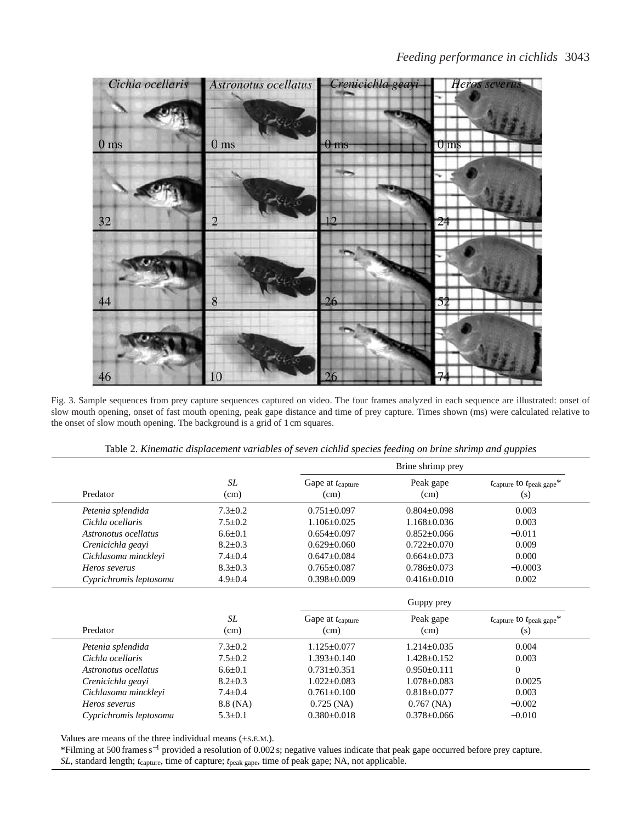

Fig. 3. Sample sequences from prey capture sequences captured on video. The four frames analyzed in each sequence are illustrated: onset of slow mouth opening, onset of fast mouth opening, peak gape distance and time of prey capture. Times shown (ms) were calculated relative to the onset of slow mouth opening. The background is a grid of 1 cm squares.

| Table 2. Kinematic displacement variables of seven cichlid species feeding on brine shrimp and guppies |  |  |
|--------------------------------------------------------------------------------------------------------|--|--|
|                                                                                                        |  |  |

|                        |               | Brine shrimp prey                    |                   |                                                  |  |
|------------------------|---------------|--------------------------------------|-------------------|--------------------------------------------------|--|
| Predator               | SL<br>(cm)    | Gape at t <sub>capture</sub><br>(cm) | Peak gape<br>(cm) | $t$ capture to $t$ <sub>peak gape</sub> *<br>(s) |  |
| Petenia splendida      | $7.3 \pm 0.2$ | $0.751 \pm 0.097$                    | $0.804 \pm 0.098$ | 0.003                                            |  |
| Cichla ocellaris       | $7.5 \pm 0.2$ | $1.106 \pm 0.025$                    | $1.168 \pm 0.036$ | 0.003                                            |  |
| Astronotus ocellatus   | $6.6 \pm 0.1$ | $0.654 \pm 0.097$                    | $0.852 \pm 0.066$ | $-0.011$                                         |  |
| Crenicichla geayi      | $8.2 \pm 0.3$ | $0.629 \pm 0.060$                    | $0.722 \pm 0.070$ | 0.009                                            |  |
| Cichlasoma minckleyi   | $7.4 \pm 0.4$ | $0.647 \pm 0.084$                    | $0.664 \pm 0.073$ | 0.000                                            |  |
| Heros severus          | $8.3 \pm 0.3$ | $0.765 \pm 0.087$                    | $0.786 \pm 0.073$ | $-0.0003$                                        |  |
| Cyprichromis leptosoma | $4.9 \pm 0.4$ | $0.398 \pm 0.009$                    | $0.416 \pm 0.010$ | 0.002                                            |  |
|                        |               |                                      | Guppy prey        |                                                  |  |
| Predator               | SL<br>(cm)    | Gape at t <sub>capture</sub><br>(cm) | Peak gape<br>(cm) | $t$ capture to $t$ <sub>peak gape</sub> *<br>(s) |  |
| Petenia splendida      | $7.3 \pm 0.2$ | $1.125 \pm 0.077$                    | $1.214 \pm 0.035$ | 0.004                                            |  |
| Cichla ocellaris       | $7.5 \pm 0.2$ | $1.393 \pm 0.140$                    | $1.428 \pm 0.152$ | 0.003                                            |  |
| Astronotus ocellatus   |               |                                      |                   |                                                  |  |
|                        | $6.6 \pm 0.1$ | $0.731 \pm 0.351$                    | $0.950 \pm 0.111$ | $\theta$                                         |  |
| Crenicichla geayi      | $8.2 \pm 0.3$ | $1.022 \pm 0.083$                    | $1.078 \pm 0.083$ | 0.0025                                           |  |
| Cichlasoma minckleyi   | $7.4 \pm 0.4$ | $0.761 \pm 0.100$                    | $0.818 \pm 0.077$ | 0.003                                            |  |
| Heros severus          | 8.8 (NA)      | $0.725$ (NA)                         | $0.767$ (NA)      | $-0.002$                                         |  |

Values are means of the three individual means (±S.E.M.).

\*Filming at 500 frames s−<sup>1</sup> provided a resolution of 0.002 s; negative values indicate that peak gape occurred before prey capture. *SL*, standard length; *t*capture, time of capture; *t*peak gape, time of peak gape; NA, not applicable.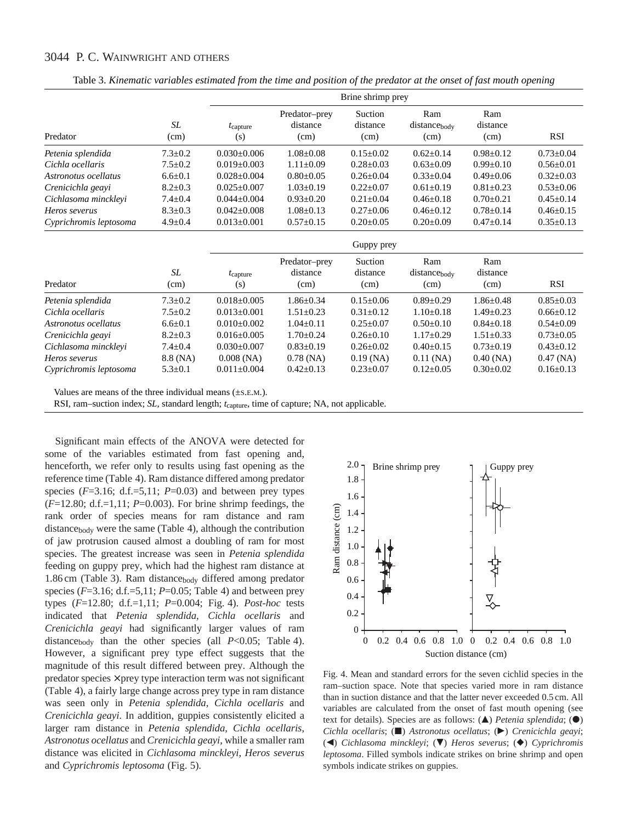|                        |                   |                          |                                   | Brine shrimp prey           |                             |                         |                 |
|------------------------|-------------------|--------------------------|-----------------------------------|-----------------------------|-----------------------------|-------------------------|-----------------|
| Predator               | SL<br>(cm)        | $t_{\rm capture}$<br>(s) | Predator-prey<br>distance<br>(cm) | Suction<br>distance<br>(cm) | Ram<br>distancebody<br>(cm) | Ram<br>distance<br>(cm) | <b>RSI</b>      |
| Petenia splendida      | $7.3 \pm 0.2$     | $0.030 + 0.006$          | $1.08 \pm 0.08$                   | $0.15 \pm 0.02$             | $0.62 \pm 0.14$             | $0.98 \pm 0.12$         | $0.73 + 0.04$   |
| Cichla ocellaris       | $7.5 \pm 0.2$     | $0.019 \pm 0.003$        | $1.11 \pm 0.09$                   | $0.28 \pm 0.03$             | $0.63 \pm 0.09$             | $0.99 \pm 0.10$         | $0.56 \pm 0.01$ |
| Astronotus ocellatus   | $6.6 \pm 0.1$     | $0.028 \pm 0.004$        | $0.80 + 0.05$                     | $0.26 \pm 0.04$             | $0.33 \pm 0.04$             | $0.49 + 0.06$           | $0.32 \pm 0.03$ |
| Crenicichla geayi      | $8.2 \pm 0.3$     | $0.025 \pm 0.007$        | $1.03 \pm 0.19$                   | $0.22 \pm 0.07$             | $0.61 \pm 0.19$             | $0.81 \pm 0.23$         | $0.53 \pm 0.06$ |
| Cichlasoma minckleyi   | $7.4 \pm 0.4$     | $0.044 \pm 0.004$        | $0.93 \pm 0.20$                   | $0.21 \pm 0.04$             | $0.46 \pm 0.18$             | $0.70 \pm 0.21$         | $0.45 \pm 0.14$ |
| Heros severus          | $8.3 \pm 0.3$     | $0.042 \pm 0.008$        | $1.08 \pm 0.13$                   | $0.27 \pm 0.06$             | $0.46 \pm 0.12$             | $0.78 \pm 0.14$         | $0.46 \pm 0.15$ |
| Cyprichromis leptosoma | $4.9 \pm 0.4$     | $0.013 \pm 0.001$        | $0.57 \pm 0.15$                   | $0.20 \pm 0.05$             | $0.20 \pm 0.09$             | $0.47 \pm 0.14$         | $0.35 \pm 0.13$ |
|                        |                   | Guppy prey               |                                   |                             |                             |                         |                 |
| Predator               | <b>SL</b><br>(cm) | $t$ capture<br>(s)       | Predator-prey<br>distance<br>(cm) | Suction<br>distance<br>(cm) | Ram<br>distancebody<br>(cm) | Ram<br>distance<br>(cm) | <b>RSI</b>      |
| Petenia splendida      | $7.3 \pm 0.2$     | $0.018 \pm 0.005$        | $1.86 \pm 0.34$                   | $0.15 \pm 0.06$             | $0.89 \pm 0.29$             | $1.86 \pm 0.48$         | $0.85 \pm 0.03$ |
| Cichla ocellaris       | $7.5 \pm 0.2$     | $0.013 + 0.001$          | $1.51 \pm 0.23$                   | $0.31 \pm 0.12$             | $1.10 \pm 0.18$             | $1.49 + 0.23$           | $0.66 \pm 0.12$ |
| Astronotus ocellatus   | $6.6 \pm 0.1$     | $0.010\pm0.002$          | $1.04 \pm 0.11$                   | $0.25 \pm 0.07$             | $0.50 \pm 0.10$             | $0.84 \pm 0.18$         | $0.54 \pm 0.09$ |
| Crenicichla geayi      | $8.2 \pm 0.3$     | $0.016 \pm 0.005$        | $1.70 \pm 0.24$                   | $0.26 \pm 0.10$             | $1.17 \pm 0.29$             | $1.51 \pm 0.33$         | $0.73 \pm 0.05$ |
| Cichlasoma minckleyi   | $7.4 \pm 0.4$     | $0.030 \pm 0.007$        | $0.83 \pm 0.19$                   | $0.26 \pm 0.02$             | $0.40 \pm 0.15$             | $0.73 \pm 0.19$         | $0.43 \pm 0.12$ |
| Heros severus          | 8.8 (NA)          | $0.008$ (NA)             | $0.78$ (NA)                       | $0.19$ (NA)                 | $0.11$ (NA)                 | $0.40$ (NA)             | $0.47$ (NA)     |
| Cyprichromis leptosoma | $5.3 \pm 0.1$     | $0.011 \pm 0.004$        | $0.42 \pm 0.13$                   | $0.23 \pm 0.07$             | $0.12 \pm 0.05$             | $0.30 \pm 0.02$         | $0.16 \pm 0.13$ |

Table 3. *Kinematic variables estimated from the time and position of the predator at the onset of fast mouth opening*

Values are means of the three individual means (±S.E.M.).

RSI, ram–suction index; *SL*, standard length;  $t_{\text{capture}}$ , time of capture; NA, not applicable.

Significant main effects of the ANOVA were detected for some of the variables estimated from fast opening and, henceforth, we refer only to results using fast opening as the reference time (Table 4). Ram distance differed among predator species  $(F=3.16; d.f.=5,11; P=0.03)$  and between prey types (*F*=12.80; d.f.=1,11; *P*=0.003). For brine shrimp feedings, the rank order of species means for ram distance and ram  $distance_{body}$  were the same (Table 4), although the contribution of jaw protrusion caused almost a doubling of ram for most species. The greatest increase was seen in *Petenia splendida* feeding on guppy prey, which had the highest ram distance at 1.86 cm (Table 3). Ram distancebody differed among predator species  $(F=3.16; d.f.=5, 11; P=0.05; Table 4)$  and between prey types (*F*=12.80; d.f.=1,11; *P*=0.004; Fig. 4). *Post-hoc* tests indicated that *Petenia splendida*, *Cichla ocellaris* and *Crenicichla geayi* had significantly larger values of ram distance<sub>body</sub> than the other species (all *P*<0.05; Table 4). However, a significant prey type effect suggests that the magnitude of this result differed between prey. Although the  $predator species \times prey type interaction term was not significant$ (Table 4), a fairly large change across prey type in ram distance was seen only in *Petenia splendida*, *Cichla ocellaris* and *Crenicichla geayi*. In addition, guppies consistently elicited a larger ram distance in *Petenia splendida*, *Cichla ocellaris*, *Astronotus ocellatus* and *Crenicichla geayi*, while a smaller ram distance was elicited in *Cichlasoma minckleyi*, *Heros severus* and *Cyprichromis leptosoma* (Fig. 5).



Fig. 4. Mean and standard errors for the seven cichlid species in the ram–suction space. Note that species varied more in ram distance than in suction distance and that the latter never exceeded 0.5 cm. All variables are calculated from the onset of fast mouth opening (see text for details). Species are as follows: (A) *Petenia splendida*; ( $\bullet$ ) *Cichla ocellaris*; ( $\Box$ ) *Astronotus ocellatus*; ( $\triangleright$ ) *Crenicichla geayi*; (4) *Cichlasoma minckleyi*; (7) *Heros severus*; (4) *Cyprichromis leptosoma*. Filled symbols indicate strikes on brine shrimp and open symbols indicate strikes on guppies.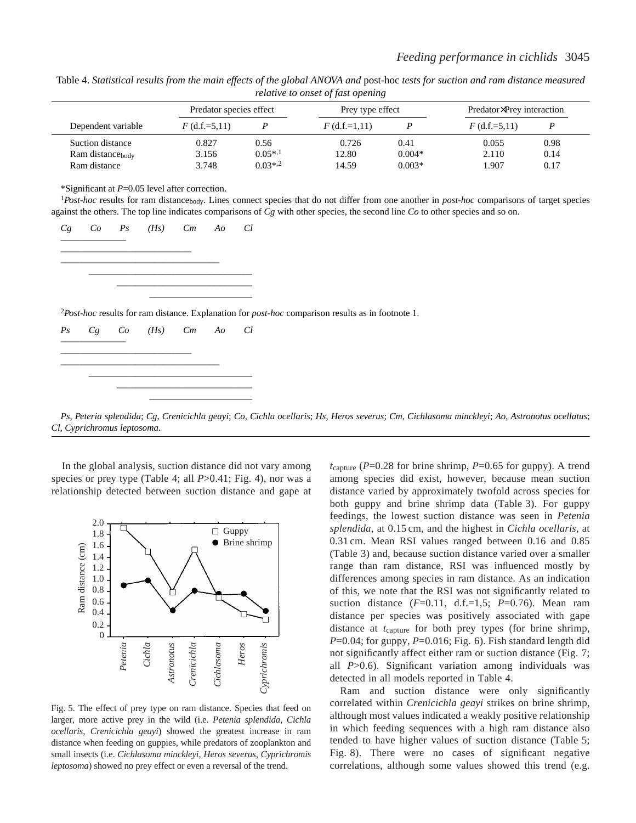| $\sim$                       |                         |              |                  |          |                           |      |  |
|------------------------------|-------------------------|--------------|------------------|----------|---------------------------|------|--|
|                              | Predator species effect |              | Prey type effect |          | Predator×Prey interaction |      |  |
| Dependent variable           | $F$ (d.f.=5.11)         |              | $F$ (d.f.=1,11)  |          | $F$ (d.f.=5.11)           |      |  |
| Suction distance             | 0.827                   | 0.56         | 0.726            | 0.41     | 0.055                     | 0.98 |  |
| Ram distance <sub>body</sub> | 3.156                   | $0.05^{*,1}$ | 12.80            | $0.004*$ | 2.110                     | 0.14 |  |
| Ram distance                 | 3.748                   | $0.03*,2$    | 14.59            | $0.003*$ | .907                      | 0.17 |  |

Table 4. *Statistical results from the main effects of the global ANOVA and post-hoc tests for suction and ram distance measured relative to onset of fast opening*

\*Significant at *P*=0.05 level after correction.

<sup>1</sup>*Post-hoc* results for ram distancebody. Lines connect species that do not differ from one another in *post-hoc* comparisons of target species against the others. The top line indicates comparisons of *Cg* with other species, the second line *Co* to other species and so on.



–––––––––––––––––––––––––––––––––––

*Ps*, *Peteria splendida*; *Cg*, *Crenicichla geayi*; *Co*, *Cichla ocellaris*; *Hs*, *Heros severus*; *Cm*, *Cichlasoma minckleyi*; *Ao*, *Astronotus ocellatus*; *Cl*, *Cyprichromus leptosoma*.

In the global analysis, suction distance did not vary among species or prey type (Table 4; all  $P > 0.41$ ; Fig. 4), nor was a relationship detected between suction distance and gape at

––––––––––––––––––––––––––––– ––––––––––––––––––––––



Fig. 5. The effect of prey type on ram distance. Species that feed on larger, more active prey in the wild (i.e. *Petenia splendida*, *Cichla ocellaris*, *Crenicichla geayi*) showed the greatest increase in ram distance when feeding on guppies, while predators of zooplankton and small insects (i.e. *Cichlasoma minckleyi*, *Heros severus*, *Cyprichromis leptosoma*) showed no prey effect or even a reversal of the trend.

*t*capture (*P*=0.28 for brine shrimp, *P*=0.65 for guppy). A trend among species did exist, however, because mean suction distance varied by approximately twofold across species for both guppy and brine shrimp data (Table 3). For guppy feedings, the lowest suction distance was seen in *Petenia splendida*, at 0.15 cm, and the highest in *Cichla ocellaris*, at 0.31 cm. Mean RSI values ranged between 0.16 and 0.85 (Table 3) and, because suction distance varied over a smaller range than ram distance, RSI was influenced mostly by differences among species in ram distance. As an indication of this, we note that the RSI was not significantly related to suction distance  $(F=0.11, d.f.=1,5; P=0.76)$ . Mean ram distance per species was positively associated with gape distance at *t*capture for both prey types (for brine shrimp, *P*=0.04; for guppy, *P*=0.016; Fig. 6). Fish standard length did not significantly affect either ram or suction distance (Fig. 7; all *P*>0.6). Significant variation among individuals was detected in all models reported in Table 4.

Ram and suction distance were only significantly correlated within *Crenicichla geayi* strikes on brine shrimp, although most values indicated a weakly positive relationship in which feeding sequences with a high ram distance also tended to have higher values of suction distance (Table 5; Fig. 8). There were no cases of significant negative correlations, although some values showed this trend (e.g.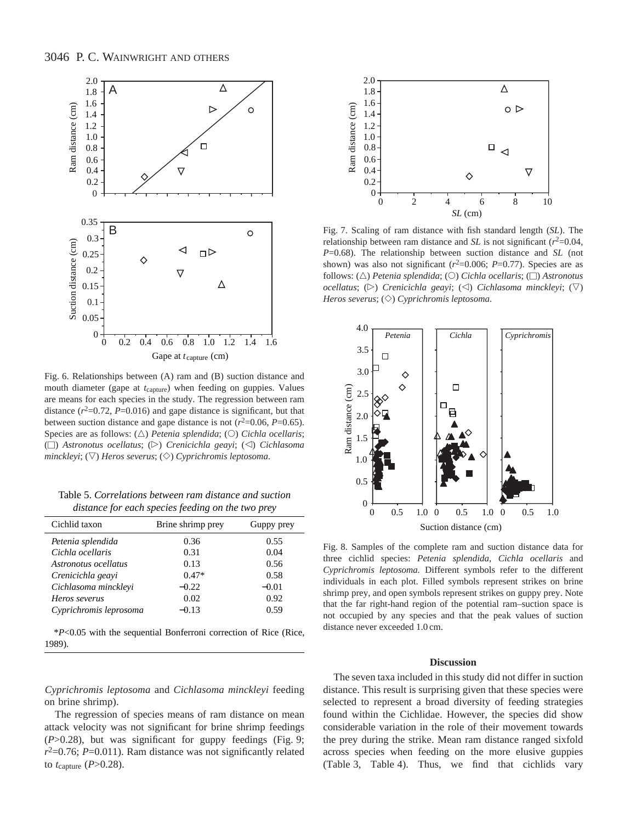

Fig. 6. Relationships between (A) ram and (B) suction distance and mouth diameter (gape at *t*<sub>capture</sub>) when feeding on guppies. Values are means for each species in the study. The regression between ram distance  $(r^2=0.72, P=0.016)$  and gape distance is significant, but that between suction distance and gape distance is not  $(r^2=0.06, P=0.65)$ . Species are as follows: ( $\triangle$ ) *Petenia splendida*; ( $\circ$ ) *Cichla ocellaris*; ( $\Box$ ) *Astronotus ocellatus*; ( $\triangleright$ ) *Crenicichla geayi*; ( $\triangle$ ) *Cichlasoma minckleyi*;  $(\nabla)$  *Heros severus*;  $(\diamond)$  *Cyprichromis leptosoma.* 

Table 5. *Correlations between ram distance and suction distance for each species feeding on the two prey*

| Cichlid taxon          | Brine shrimp prey | Guppy prey |
|------------------------|-------------------|------------|
| Petenia splendida      | 0.36              | 0.55       |
| Cichla ocellaris       | 0.31              | 0.04       |
| Astronotus ocellatus   | 0.13              | 0.56       |
| Crenicichla geavi      | $0.47*$           | 0.58       |
| Cichlasoma mincklevi   | $-0.22$           | $-0.01$    |
| Heros severus          | 0.02              | 0.92       |
| Cyprichromis leprosoma | $-0.13$           | 0.59       |

\**P*<0.05 with the sequential Bonferroni correction of Rice (Rice, 1989).

*Cyprichromis leptosoma* and *Cichlasoma minckleyi* feeding on brine shrimp).

The regression of species means of ram distance on mean attack velocity was not significant for brine shrimp feedings (*P*>0.28), but was significant for guppy feedings (Fig. 9;  $r^2$ =0.76; *P*=0.011). Ram distance was not significantly related to *t*capture (*P*>0.28).



Fig. 7. Scaling of ram distance with fish standard length (*SL*). The relationship between ram distance and *SL* is not significant  $(r^2=0.04,$ *P*=0.68). The relationship between suction distance and *SL* (not shown) was also not significant  $(r^2=0.006; P=0.77)$ . Species are as follows: (△) *Petenia splendida*; (○) *Cichla ocellaris*; (□) *Astronotus ocellatus*; ( $\triangleright$ ) *Crenicichla geayi*; ( $\triangleleft$ ) *Cichlasoma minckleyi*; ( $\triangledown$ ) *Heros severus*;  $(\Diamond)$  *Cyprichromis leptosoma.* 



Fig. 8. Samples of the complete ram and suction distance data for three cichlid species: *Petenia splendida*, *Cichla ocellaris* and *Cyprichromis leptosoma.* Different symbols refer to the different individuals in each plot. Filled symbols represent strikes on brine shrimp prey, and open symbols represent strikes on guppy prey. Note that the far right-hand region of the potential ram–suction space is not occupied by any species and that the peak values of suction distance never exceeded 1.0 cm.

#### **Discussion**

The seven taxa included in this study did not differ in suction distance. This result is surprising given that these species were selected to represent a broad diversity of feeding strategies found within the Cichlidae. However, the species did show considerable variation in the role of their movement towards the prey during the strike. Mean ram distance ranged sixfold across species when feeding on the more elusive guppies (Table 3, Table 4). Thus, we find that cichlids vary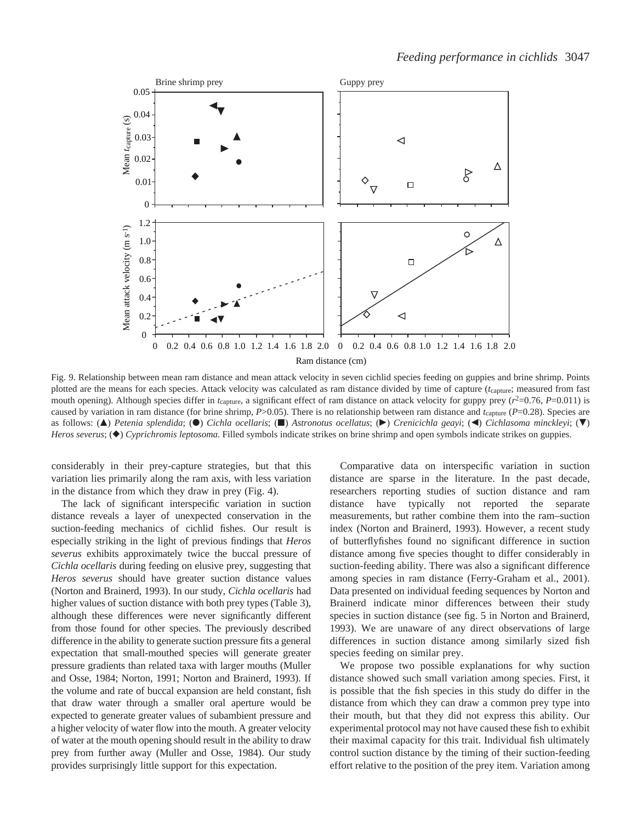

Fig. 9. Relationship between mean ram distance and mean attack velocity in seven cichlid species feeding on guppies and brine shrimp. Points plotted are the means for each species. Attack velocity was calculated as ram distance divided by time of capture (*t*capture; measured from fast mouth opening). Although species differ in  $t_{\text{capture}}$ , a significant effect of ram distance on attack velocity for guppy prey ( $r^2$ =0.76, *P*=0.011) is caused by variation in ram distance (for brine shrimp, *P*>0.05). There is no relationship between ram distance and *t*<sub>capture</sub> (*P*=0.28). Species are as follows: (A) *Petenia splendida*; (O) *Cichla ocellaris*; (D) *Astronotus ocellatus*; ( $\blacktriangleright$ ) *Crenicichla geayi*; ( $\blacktriangleleft$ ) *Cichlasoma minckleyi*; ( $\nabla$ ) *Heros severus*; ( $\bullet$ ) *Cyprichromis leptosoma*. Filled symbols indicate strikes on brine shrimp and open symbols indicate strikes on guppies.

considerably in their prey-capture strategies, but that this variation lies primarily along the ram axis, with less variation in the distance from which they draw in prey (Fig. 4).

The lack of significant interspecific variation in suction distance reveals a layer of unexpected conservation in the suction-feeding mechanics of cichlid fishes. Our result is especially striking in the light of previous findings that *Heros severus* exhibits approximately twice the buccal pressure of *Cichla ocellaris* during feeding on elusive prey, suggesting that *Heros severus* should have greater suction distance values (Norton and Brainerd, 1993). In our study, *Cichla ocellaris* had higher values of suction distance with both prey types (Table 3), although these differences were never significantly different from those found for other species. The previously described difference in the ability to generate suction pressure fits a general expectation that small-mouthed species will generate greater pressure gradients than related taxa with larger mouths (Muller and Osse, 1984; Norton, 1991; Norton and Brainerd, 1993). If the volume and rate of buccal expansion are held constant, fish that draw water through a smaller oral aperture would be expected to generate greater values of subambient pressure and a higher velocity of water flow into the mouth. A greater velocity of water at the mouth opening should result in the ability to draw prey from further away (Muller and Osse, 1984). Our study provides surprisingly little support for this expectation.

Comparative data on interspecific variation in suction distance are sparse in the literature. In the past decade, researchers reporting studies of suction distance and ram distance have typically not reported the separate measurements, but rather combine them into the ram–suction index (Norton and Brainerd, 1993). However, a recent study of butterflyfishes found no significant difference in suction distance among five species thought to differ considerably in suction-feeding ability. There was also a significant difference among species in ram distance (Ferry-Graham et al., 2001). Data presented on individual feeding sequences by Norton and Brainerd indicate minor differences between their study species in suction distance (see fig. 5 in Norton and Brainerd, 1993). We are unaware of any direct observations of large differences in suction distance among similarly sized fish species feeding on similar prey.

We propose two possible explanations for why suction distance showed such small variation among species. First, it is possible that the fish species in this study do differ in the distance from which they can draw a common prey type into their mouth, but that they did not express this ability. Our experimental protocol may not have caused these fish to exhibit their maximal capacity for this trait. Individual fish ultimately control suction distance by the timing of their suction-feeding effort relative to the position of the prey item. Variation among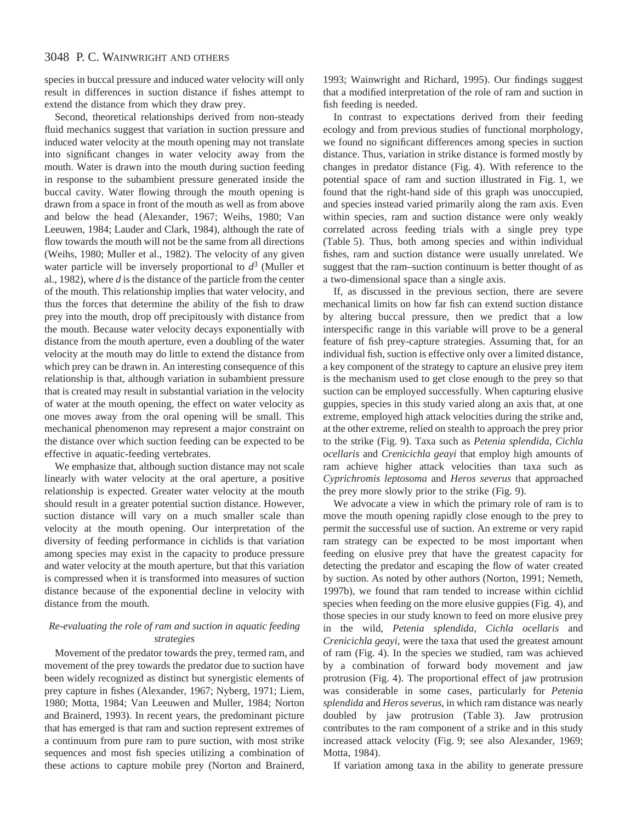species in buccal pressure and induced water velocity will only result in differences in suction distance if fishes attempt to extend the distance from which they draw prey.

Second, theoretical relationships derived from non-steady fluid mechanics suggest that variation in suction pressure and induced water velocity at the mouth opening may not translate into significant changes in water velocity away from the mouth. Water is drawn into the mouth during suction feeding in response to the subambient pressure generated inside the buccal cavity. Water flowing through the mouth opening is drawn from a space in front of the mouth as well as from above and below the head (Alexander, 1967; Weihs, 1980; Van Leeuwen, 1984; Lauder and Clark, 1984), although the rate of flow towards the mouth will not be the same from all directions (Weihs, 1980; Muller et al., 1982). The velocity of any given water particle will be inversely proportional to  $d^3$  (Muller et al., 1982), where *d* is the distance of the particle from the center of the mouth. This relationship implies that water velocity, and thus the forces that determine the ability of the fish to draw prey into the mouth, drop off precipitously with distance from the mouth. Because water velocity decays exponentially with distance from the mouth aperture, even a doubling of the water velocity at the mouth may do little to extend the distance from which prey can be drawn in. An interesting consequence of this relationship is that, although variation in subambient pressure that is created may result in substantial variation in the velocity of water at the mouth opening, the effect on water velocity as one moves away from the oral opening will be small. This mechanical phenomenon may represent a major constraint on the distance over which suction feeding can be expected to be effective in aquatic-feeding vertebrates.

We emphasize that, although suction distance may not scale linearly with water velocity at the oral aperture, a positive relationship is expected. Greater water velocity at the mouth should result in a greater potential suction distance. However, suction distance will vary on a much smaller scale than velocity at the mouth opening. Our interpretation of the diversity of feeding performance in cichlids is that variation among species may exist in the capacity to produce pressure and water velocity at the mouth aperture, but that this variation is compressed when it is transformed into measures of suction distance because of the exponential decline in velocity with distance from the mouth.

### *Re-evaluating the role of ram and suction in aquatic feeding strategies*

Movement of the predator towards the prey, termed ram, and movement of the prey towards the predator due to suction have been widely recognized as distinct but synergistic elements of prey capture in fishes (Alexander, 1967; Nyberg, 1971; Liem, 1980; Motta, 1984; Van Leeuwen and Muller, 1984; Norton and Brainerd, 1993). In recent years, the predominant picture that has emerged is that ram and suction represent extremes of a continuum from pure ram to pure suction, with most strike sequences and most fish species utilizing a combination of these actions to capture mobile prey (Norton and Brainerd,

1993; Wainwright and Richard, 1995). Our findings suggest that a modified interpretation of the role of ram and suction in fish feeding is needed.

In contrast to expectations derived from their feeding ecology and from previous studies of functional morphology, we found no significant differences among species in suction distance. Thus, variation in strike distance is formed mostly by changes in predator distance (Fig. 4). With reference to the potential space of ram and suction illustrated in Fig. 1, we found that the right-hand side of this graph was unoccupied, and species instead varied primarily along the ram axis. Even within species, ram and suction distance were only weakly correlated across feeding trials with a single prey type (Table 5). Thus, both among species and within individual fishes, ram and suction distance were usually unrelated. We suggest that the ram–suction continuum is better thought of as a two-dimensional space than a single axis.

If, as discussed in the previous section, there are severe mechanical limits on how far fish can extend suction distance by altering buccal pressure, then we predict that a low interspecific range in this variable will prove to be a general feature of fish prey-capture strategies. Assuming that, for an individual fish, suction is effective only over a limited distance, a key component of the strategy to capture an elusive prey item is the mechanism used to get close enough to the prey so that suction can be employed successfully. When capturing elusive guppies, species in this study varied along an axis that, at one extreme, employed high attack velocities during the strike and, at the other extreme, relied on stealth to approach the prey prior to the strike (Fig. 9). Taxa such as *Petenia splendida*, *Cichla ocellaris* and *Crenicichla geayi* that employ high amounts of ram achieve higher attack velocities than taxa such as *Cyprichromis leptosoma* and *Heros severus* that approached the prey more slowly prior to the strike (Fig. 9).

We advocate a view in which the primary role of ram is to move the mouth opening rapidly close enough to the prey to permit the successful use of suction. An extreme or very rapid ram strategy can be expected to be most important when feeding on elusive prey that have the greatest capacity for detecting the predator and escaping the flow of water created by suction. As noted by other authors (Norton, 1991; Nemeth, 1997b), we found that ram tended to increase within cichlid species when feeding on the more elusive guppies (Fig. 4), and those species in our study known to feed on more elusive prey in the wild, *Petenia splendida*, *Cichla ocellaris* and *Crenicichla geayi*, were the taxa that used the greatest amount of ram (Fig. 4). In the species we studied, ram was achieved by a combination of forward body movement and jaw protrusion (Fig. 4). The proportional effect of jaw protrusion was considerable in some cases, particularly for *Petenia splendida* and *Heros severus*, in which ram distance was nearly doubled by jaw protrusion (Table 3). Jaw protrusion contributes to the ram component of a strike and in this study increased attack velocity (Fig. 9; see also Alexander, 1969; Motta, 1984).

If variation among taxa in the ability to generate pressure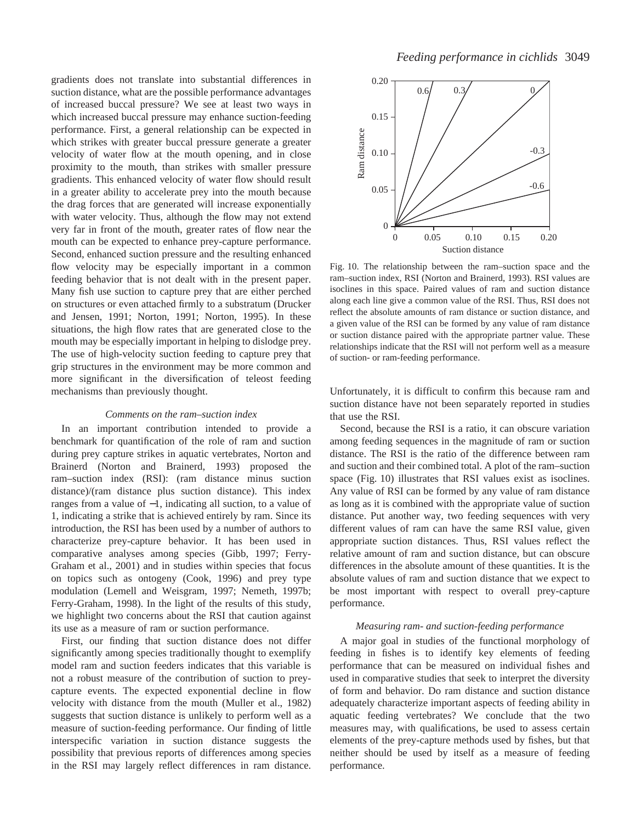gradients does not translate into substantial differences in suction distance, what are the possible performance advantages of increased buccal pressure? We see at least two ways in which increased buccal pressure may enhance suction-feeding performance. First, a general relationship can be expected in which strikes with greater buccal pressure generate a greater velocity of water flow at the mouth opening, and in close proximity to the mouth, than strikes with smaller pressure gradients. This enhanced velocity of water flow should result in a greater ability to accelerate prey into the mouth because the drag forces that are generated will increase exponentially with water velocity. Thus, although the flow may not extend very far in front of the mouth, greater rates of flow near the mouth can be expected to enhance prey-capture performance. Second, enhanced suction pressure and the resulting enhanced flow velocity may be especially important in a common feeding behavior that is not dealt with in the present paper. Many fish use suction to capture prey that are either perched on structures or even attached firmly to a substratum (Drucker and Jensen, 1991; Norton, 1991; Norton, 1995). In these situations, the high flow rates that are generated close to the mouth may be especially important in helping to dislodge prey. The use of high-velocity suction feeding to capture prey that grip structures in the environment may be more common and more significant in the diversification of teleost feeding mechanisms than previously thought.

### *Comments on the ram–suction index*

In an important contribution intended to provide a benchmark for quantification of the role of ram and suction during prey capture strikes in aquatic vertebrates, Norton and Brainerd (Norton and Brainerd, 1993) proposed the ram–suction index (RSI): (ram distance minus suction distance)/(ram distance plus suction distance). This index ranges from a value of −1, indicating all suction, to a value of 1, indicating a strike that is achieved entirely by ram. Since its introduction, the RSI has been used by a number of authors to characterize prey-capture behavior. It has been used in comparative analyses among species (Gibb, 1997; Ferry-Graham et al., 2001) and in studies within species that focus on topics such as ontogeny (Cook, 1996) and prey type modulation (Lemell and Weisgram, 1997; Nemeth, 1997b; Ferry-Graham, 1998). In the light of the results of this study, we highlight two concerns about the RSI that caution against its use as a measure of ram or suction performance.

First, our finding that suction distance does not differ significantly among species traditionally thought to exemplify model ram and suction feeders indicates that this variable is not a robust measure of the contribution of suction to preycapture events. The expected exponential decline in flow velocity with distance from the mouth (Muller et al., 1982) suggests that suction distance is unlikely to perform well as a measure of suction-feeding performance. Our finding of little interspecific variation in suction distance suggests the possibility that previous reports of differences among species in the RSI may largely reflect differences in ram distance.



Fig. 10. The relationship between the ram–suction space and the ram–suction index, RSI (Norton and Brainerd, 1993). RSI values are isoclines in this space. Paired values of ram and suction distance along each line give a common value of the RSI. Thus, RSI does not reflect the absolute amounts of ram distance or suction distance, and a given value of the RSI can be formed by any value of ram distance or suction distance paired with the appropriate partner value. These relationships indicate that the RSI will not perform well as a measure of suction- or ram-feeding performance.

Unfortunately, it is difficult to confirm this because ram and suction distance have not been separately reported in studies that use the RSI.

Second, because the RSI is a ratio, it can obscure variation among feeding sequences in the magnitude of ram or suction distance. The RSI is the ratio of the difference between ram and suction and their combined total. A plot of the ram–suction space (Fig. 10) illustrates that RSI values exist as isoclines. Any value of RSI can be formed by any value of ram distance as long as it is combined with the appropriate value of suction distance. Put another way, two feeding sequences with very different values of ram can have the same RSI value, given appropriate suction distances. Thus, RSI values reflect the relative amount of ram and suction distance, but can obscure differences in the absolute amount of these quantities. It is the absolute values of ram and suction distance that we expect to be most important with respect to overall prey-capture performance.

#### *Measuring ram- and suction-feeding performance*

A major goal in studies of the functional morphology of feeding in fishes is to identify key elements of feeding performance that can be measured on individual fishes and used in comparative studies that seek to interpret the diversity of form and behavior. Do ram distance and suction distance adequately characterize important aspects of feeding ability in aquatic feeding vertebrates? We conclude that the two measures may, with qualifications, be used to assess certain elements of the prey-capture methods used by fishes, but that neither should be used by itself as a measure of feeding performance.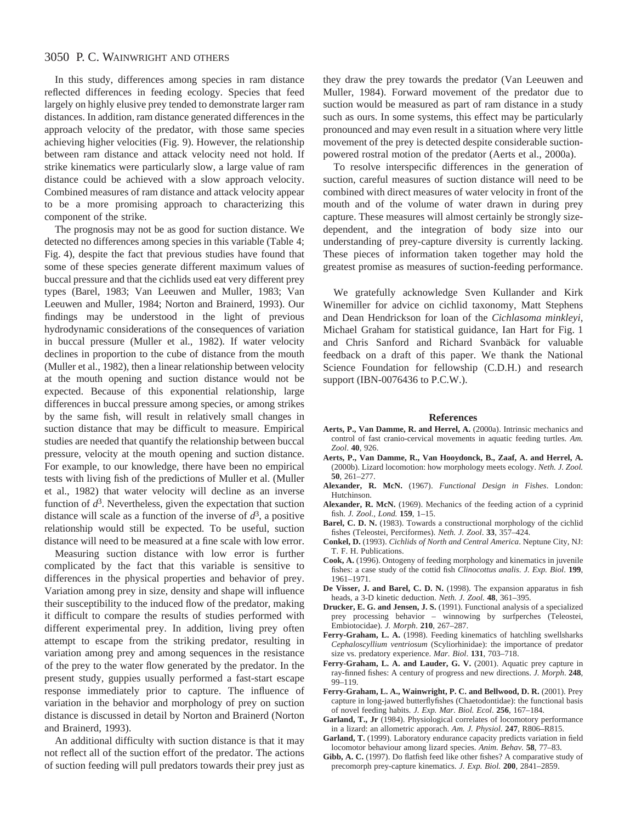In this study, differences among species in ram distance reflected differences in feeding ecology. Species that feed largely on highly elusive prey tended to demonstrate larger ram distances. In addition, ram distance generated differences in the approach velocity of the predator, with those same species achieving higher velocities (Fig. 9). However, the relationship between ram distance and attack velocity need not hold. If strike kinematics were particularly slow, a large value of ram distance could be achieved with a slow approach velocity. Combined measures of ram distance and attack velocity appear to be a more promising approach to characterizing this component of the strike.

The prognosis may not be as good for suction distance. We detected no differences among species in this variable (Table 4; Fig. 4), despite the fact that previous studies have found that some of these species generate different maximum values of buccal pressure and that the cichlids used eat very different prey types (Barel, 1983; Van Leeuwen and Muller, 1983; Van Leeuwen and Muller, 1984; Norton and Brainerd, 1993). Our findings may be understood in the light of previous hydrodynamic considerations of the consequences of variation in buccal pressure (Muller et al., 1982). If water velocity declines in proportion to the cube of distance from the mouth (Muller et al., 1982), then a linear relationship between velocity at the mouth opening and suction distance would not be expected. Because of this exponential relationship, large differences in buccal pressure among species, or among strikes by the same fish, will result in relatively small changes in suction distance that may be difficult to measure. Empirical studies are needed that quantify the relationship between buccal pressure, velocity at the mouth opening and suction distance. For example, to our knowledge, there have been no empirical tests with living fish of the predictions of Muller et al. (Muller et al., 1982) that water velocity will decline as an inverse function of  $d^3$ . Nevertheless, given the expectation that suction distance will scale as a function of the inverse of  $d^3$ , a positive relationship would still be expected. To be useful, suction distance will need to be measured at a fine scale with low error.

Measuring suction distance with low error is further complicated by the fact that this variable is sensitive to differences in the physical properties and behavior of prey. Variation among prey in size, density and shape will influence their susceptibility to the induced flow of the predator, making it difficult to compare the results of studies performed with different experimental prey. In addition, living prey often attempt to escape from the striking predator, resulting in variation among prey and among sequences in the resistance of the prey to the water flow generated by the predator. In the present study, guppies usually performed a fast-start escape response immediately prior to capture. The influence of variation in the behavior and morphology of prey on suction distance is discussed in detail by Norton and Brainerd (Norton and Brainerd, 1993).

An additional difficulty with suction distance is that it may not reflect all of the suction effort of the predator. The actions of suction feeding will pull predators towards their prey just as they draw the prey towards the predator (Van Leeuwen and Muller, 1984). Forward movement of the predator due to suction would be measured as part of ram distance in a study such as ours. In some systems, this effect may be particularly pronounced and may even result in a situation where very little movement of the prey is detected despite considerable suctionpowered rostral motion of the predator (Aerts et al., 2000a).

To resolve interspecific differences in the generation of suction, careful measures of suction distance will need to be combined with direct measures of water velocity in front of the mouth and of the volume of water drawn in during prey capture. These measures will almost certainly be strongly sizedependent, and the integration of body size into our understanding of prey-capture diversity is currently lacking. These pieces of information taken together may hold the greatest promise as measures of suction-feeding performance.

We gratefully acknowledge Sven Kullander and Kirk Winemiller for advice on cichlid taxonomy, Matt Stephens and Dean Hendrickson for loan of the *Cichlasoma minkleyi*, Michael Graham for statistical guidance, Ian Hart for Fig. 1 and Chris Sanford and Richard Svanbäck for valuable feedback on a draft of this paper. We thank the National Science Foundation for fellowship (C.D.H.) and research support (IBN-0076436 to P.C.W.).

### **References**

- **Aerts, P., Van Damme, R. and Herrel, A.** (2000a). Intrinsic mechanics and control of fast cranio-cervical movements in aquatic feeding turtles. *Am. Zool*. **40**, 926.
- **Aerts, P., Van Damme, R., Van Hooydonck, B., Zaaf, A. and Herrel, A.** (2000b). Lizard locomotion: how morphology meets ecology. *Neth. J. Zool.* **50**, 261–277.
- **Alexander, R. McN.** (1967). *Functional Design in Fishes*. London: Hutchinson.
- **Alexander, R. McN.** (1969). Mechanics of the feeding action of a cyprinid fish. *J. Zool., Lond.* **159**, 1–15.
- **Barel, C. D. N.** (1983). Towards a constructional morphology of the cichlid fishes (Teleostei, Perciformes). *Neth. J. Zool*. **33**, 357–424.
- **Conkel, D.** (1993). *Cichlids of North and Central America*. Neptune City, NJ: T. F. H. Publications.
- **Cook, A.** (1996). Ontogeny of feeding morphology and kinematics in juvenile fishes: a case study of the cottid fish *Clinocottus analis*. *J. Exp. Biol*. **199**, 1961–1971.
- **De Visser, J. and Barel, C. D. N.** (1998). The expansion apparatus in fish heads, a 3-D kinetic deduction. *Neth. J. Zool.* **48**, 361–395.
- **Drucker, E. G. and Jensen, J. S.** (1991). Functional analysis of a specialized prey processing behavior – winnowing by surfperches (Teleostei, Embiotocidae). *J. Morph*. **210**, 267–287.
- **Ferry-Graham, L. A.** (1998). Feeding kinematics of hatchling swellsharks *Cephaloscyllium ventriosum* (Scyliorhinidae): the importance of predator size vs. predatory experience. *Mar. Biol*. **131**, 703–718.
- **Ferry-Graham, L. A. and Lauder, G. V.** (2001). Aquatic prey capture in ray-finned fishes: A century of progress and new directions. *J. Morph*. **248**, 99–119.
- **Ferry-Graham, L. A., Wainwright, P. C. and Bellwood, D. R.** (2001). Prey capture in long-jawed butterflyfishes (Chaetodontidae): the functional basis of novel feeding habits*. J. Exp. Mar. Biol. Ecol*. **256**, 167–184.
- **Garland, T., Jr** (1984). Physiological correlates of locomotory performance in a lizard: an allometric apporach. *Am. J. Physiol.* **247**, R806–R815.
- **Garland, T.** (1999). Laboratory endurance capacity predicts variation in field locomotor behaviour among lizard species. *Anim. Behav.* **58**, 77–83.
- **Gibb, A. C.** (1997). Do flatfish feed like other fishes? A comparative study of precomorph prey-capture kinematics. *J. Exp. Biol.* **200**, 2841–2859.